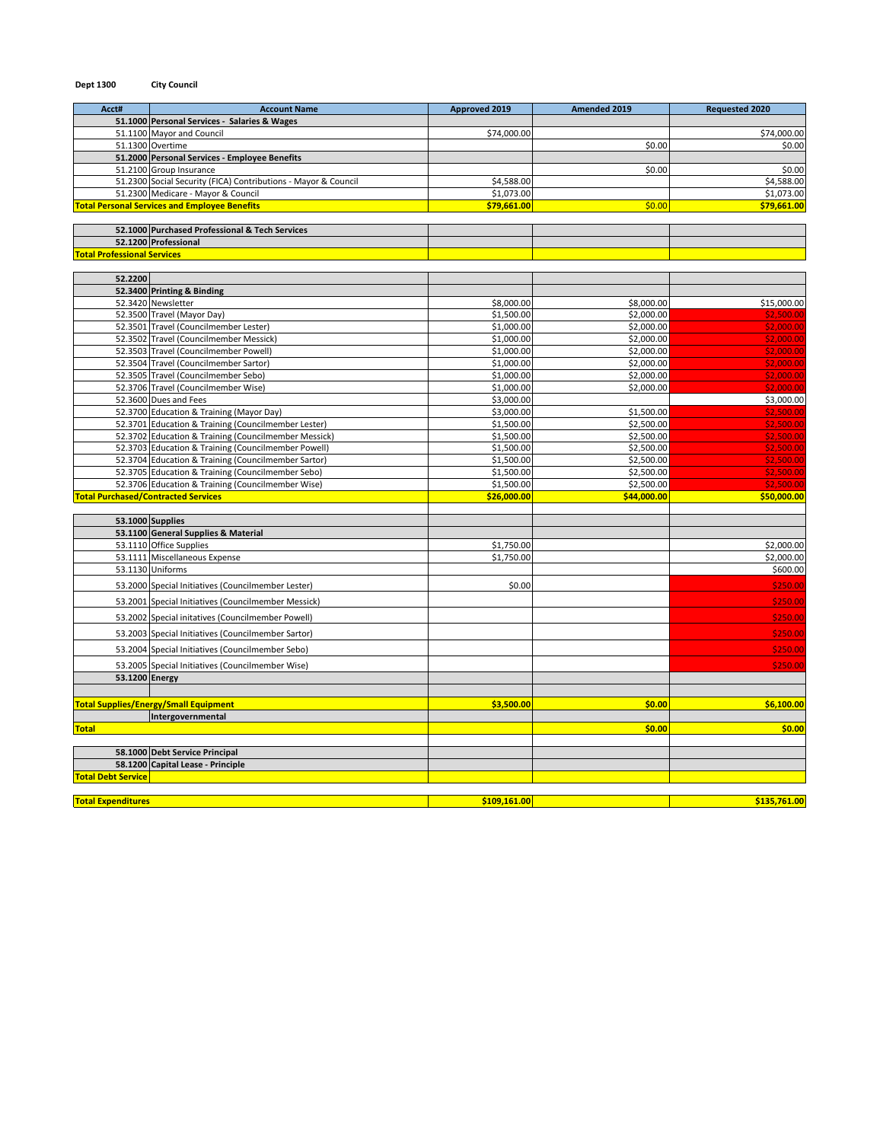| Acct#                              | <b>Account Name</b>                                                          | Approved 2019            | Amended 2019             | <b>Requested 2020</b>    |
|------------------------------------|------------------------------------------------------------------------------|--------------------------|--------------------------|--------------------------|
|                                    | 51.1000 Personal Services - Salaries & Wages                                 |                          |                          |                          |
|                                    | 51.1100 Mayor and Council                                                    | \$74,000.00              |                          | \$74,000.00              |
|                                    | 51.1300 Overtime                                                             |                          | \$0.00                   | \$0.00                   |
|                                    | 51.2000 Personal Services - Employee Benefits                                |                          |                          |                          |
|                                    | 51.2100 Group Insurance                                                      |                          | \$0.00                   | \$0.00                   |
|                                    | 51.2300 Social Security (FICA) Contributions - Mayor & Council               | \$4,588.00               |                          | \$4,588.00               |
|                                    | 51.2300 Medicare - Mayor & Council                                           | \$1,073.00               |                          | \$1,073.00               |
|                                    | <b>Total Personal Services and Employee Benefits</b>                         | \$79,661.00              | \$0.00                   | \$79,661.00              |
|                                    | 52.1000 Purchased Professional & Tech Services                               |                          |                          |                          |
|                                    | 52.1200 Professional                                                         |                          |                          |                          |
| <b>Total Professional Services</b> |                                                                              |                          |                          |                          |
| 52.2200                            |                                                                              |                          |                          |                          |
|                                    | 52.3400 Printing & Binding                                                   |                          |                          |                          |
|                                    | 52.3420 Newsletter                                                           | \$8,000.00               | \$8,000.00               | \$15,000.00              |
|                                    | 52.3500 Travel (Mayor Day)                                                   | \$1,500.00               | \$2,000.00               | \$2,500.00               |
|                                    | 52.3501 Travel (Councilmember Lester)                                        | \$1,000.00               | \$2,000.00               | \$2,000.00               |
|                                    | 52.3502 Travel (Councilmember Messick)                                       | \$1,000.00               | \$2,000.00               | \$2,000.00               |
|                                    | 52.3503 Travel (Councilmember Powell)                                        | \$1,000.00               | \$2,000.00               | \$2,000.00               |
|                                    | 52.3504 Travel (Councilmember Sartor)<br>52.3505 Travel (Councilmember Sebo) | \$1,000.00<br>\$1,000.00 | \$2,000.00<br>\$2,000.00 | \$2,000.00<br>\$2,000.00 |
|                                    | 52.3706 Travel (Councilmember Wise)                                          | \$1,000.00               | \$2,000.00               | \$2,000.00               |
|                                    | 52.3600 Dues and Fees                                                        | \$3,000.00               |                          | \$3,000.00               |
|                                    | 52.3700 Education & Training (Mayor Day)                                     | \$3,000.00               | \$1,500.00               | \$2,500.00               |
|                                    | 52.3701 Education & Training (Councilmember Lester)                          | \$1,500.00               | \$2,500.00               | \$2,500.00               |
|                                    | 52.3702 Education & Training (Councilmember Messick)                         | \$1,500.00               | \$2,500.00               | \$2,500.00               |
|                                    | 52.3703 Education & Training (Councilmember Powell)                          | \$1,500.00               | \$2,500.00               | \$2,500.00               |
|                                    | 52.3704 Education & Training (Councilmember Sartor)                          | \$1,500.00               | \$2,500.00               | \$2,500.00               |
|                                    | 52.3705 Education & Training (Councilmember Sebo)                            | \$1,500.00               | \$2,500.00               | \$2,500.00               |
|                                    | 52.3706 Education & Training (Councilmember Wise)                            | \$1,500.00               | \$2,500.00               | \$2,500.00               |
|                                    | <b>Total Purchased/Contracted Services</b>                                   | \$26,000.00              | \$44,000.00              | \$50,000.00              |
|                                    | 53.1000 Supplies                                                             |                          |                          |                          |
|                                    | 53.1100 General Supplies & Material                                          |                          |                          |                          |
|                                    | 53.1110 Office Supplies                                                      | \$1,750.00               |                          | \$2,000.00               |
|                                    | 53.1111 Miscellaneous Expense                                                | \$1,750.00               |                          | \$2,000.00               |
|                                    | 53.1130 Uniforms                                                             |                          |                          | \$600.00                 |
|                                    | 53.2000 Special Initiatives (Councilmember Lester)                           | \$0.00                   |                          | \$250.00                 |
|                                    | 53.2001 Special Initiatives (Councilmember Messick)                          |                          |                          | \$250.00                 |
|                                    | 53.2002 Special initatives (Councilmember Powell)                            |                          |                          | \$250.00                 |
|                                    | 53.2003 Special Initiatives (Councilmember Sartor)                           |                          |                          | \$250.00                 |
|                                    | 53.2004 Special Initiatives (Councilmember Sebo)                             |                          |                          | \$250.00                 |
|                                    | 53.2005 Special Initiatives (Councilmember Wise)                             |                          |                          | \$250.00                 |
| 53.1200 Energy                     |                                                                              |                          |                          |                          |
|                                    | <b>Total Supplies/Energy/Small Equipment</b>                                 | \$3,500.00               | \$0.00                   | \$6,100.00               |
|                                    | Intergovernmental                                                            |                          |                          |                          |
| <b>Total</b>                       |                                                                              |                          | \$0.00                   | \$0.00                   |

**58.1000 Debt Service Principal 58.1200 Capital Lease - Principle Total Debt Service Total Expenditures \$109,161.00 \$135,761.00**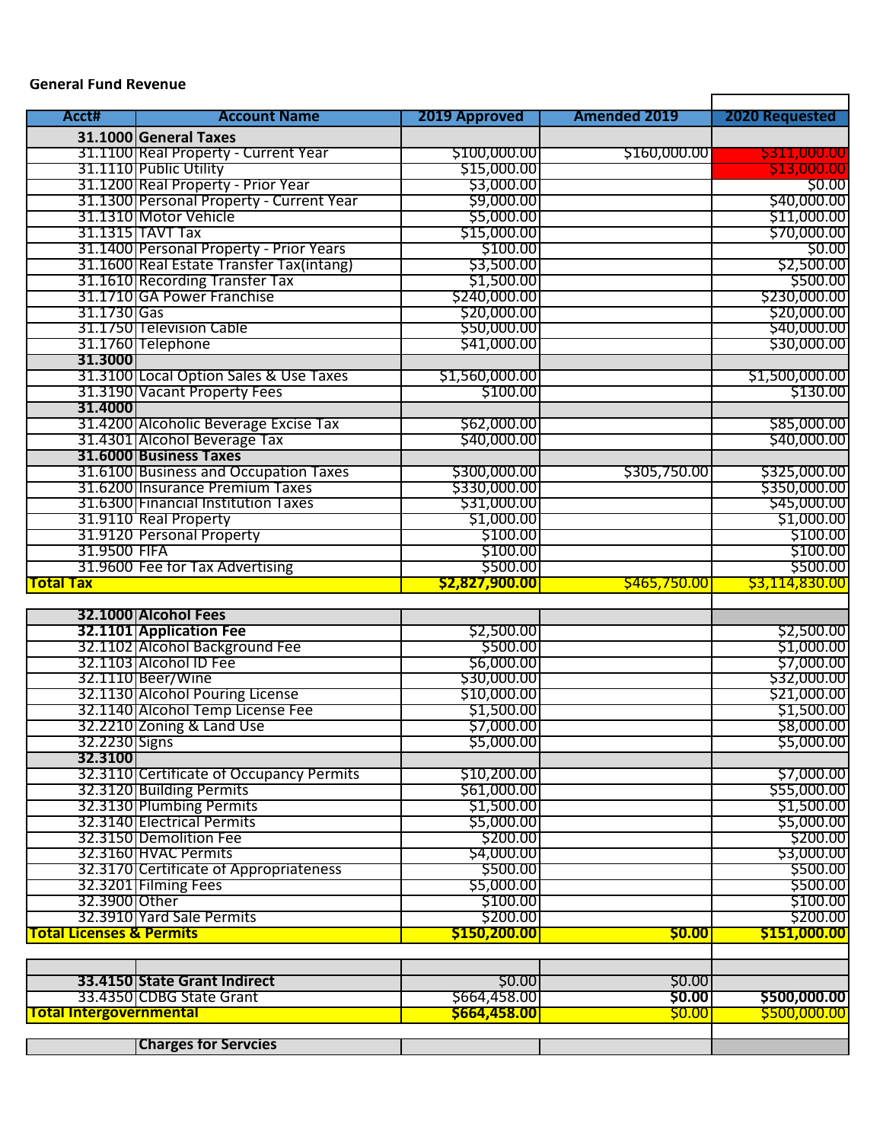## **General Fund Revenue**

| Acct#                               | <b>Account Name</b>                                  | 2019 Approved             | <b>Amended 2019</b> | <b>2020 Requested</b>                                                                                                                                                                                                                                                              |
|-------------------------------------|------------------------------------------------------|---------------------------|---------------------|------------------------------------------------------------------------------------------------------------------------------------------------------------------------------------------------------------------------------------------------------------------------------------|
|                                     | 31.1000 General Taxes                                |                           |                     |                                                                                                                                                                                                                                                                                    |
|                                     | 31.1100 Real Property - Current Year                 | \$100,000.00              | \$160,000.00        | \$311,000.00                                                                                                                                                                                                                                                                       |
|                                     | 31.1110 Public Utility                               | \$15,000.00               |                     | \$13,000.00                                                                                                                                                                                                                                                                        |
|                                     | 31.1200 Real Property - Prior Year                   | \$3,000.00                |                     | \$0.00                                                                                                                                                                                                                                                                             |
|                                     | 31.1300 Personal Property - Current Year             | \$9,000.00                |                     | \$40,000.00                                                                                                                                                                                                                                                                        |
|                                     | 31.1310 Motor Vehicle                                | \$5,000.00                |                     | \$11,000.00                                                                                                                                                                                                                                                                        |
|                                     | 31.1315 TAVT Tax                                     | \$15,000.00               |                     | \$70,000.00                                                                                                                                                                                                                                                                        |
|                                     | 31.1400 Personal Property - Prior Years              | \$100.00                  |                     | \$0.00                                                                                                                                                                                                                                                                             |
|                                     | 31.1600 Real Estate Transfer Tax(intang)             | \$3,500.00                |                     | \$2,500.00                                                                                                                                                                                                                                                                         |
|                                     | 31.1610 Recording Transfer Tax                       | \$1,500.00                |                     | \$500.00                                                                                                                                                                                                                                                                           |
|                                     | 31.1710 GA Power Franchise                           | \$240,000.00              |                     | \$230,000.00                                                                                                                                                                                                                                                                       |
| 31.1730 Gas                         |                                                      | \$20,000.00               |                     | \$20,000.00                                                                                                                                                                                                                                                                        |
|                                     | 31.1750 Television Cable                             | \$50,000.00               |                     | \$40,000.00                                                                                                                                                                                                                                                                        |
| 31.3000                             | 31.1760 Telephone                                    | \$41,000.00               |                     | \$30,000.00                                                                                                                                                                                                                                                                        |
|                                     | 31.3100 Local Option Sales & Use Taxes               | \$1,560,000.00            |                     | \$1,500,000.00                                                                                                                                                                                                                                                                     |
|                                     | 31.3190 Vacant Property Fees                         | \$100.00                  |                     | \$130.00                                                                                                                                                                                                                                                                           |
| 31.4000                             |                                                      |                           |                     |                                                                                                                                                                                                                                                                                    |
|                                     | 31.4200 Alcoholic Beverage Excise Tax                | \$62,000.00               |                     | \$85,000.00                                                                                                                                                                                                                                                                        |
|                                     | 31.4301 Alcohol Beverage Tax                         | \$40,000.00               |                     | \$40,000.00                                                                                                                                                                                                                                                                        |
|                                     | 31.6000 Business Taxes                               |                           |                     |                                                                                                                                                                                                                                                                                    |
|                                     | 31.6100 Business and Occupation Taxes                | \$300,000.00              | \$305,750.00        | \$325,000.00                                                                                                                                                                                                                                                                       |
|                                     | 31.6200 Insurance Premium Taxes                      | \$330,000.00              |                     | \$350,000.00                                                                                                                                                                                                                                                                       |
|                                     | 31.6300 Financial Institution Taxes                  | \$31,000.00               |                     | \$45,000.00                                                                                                                                                                                                                                                                        |
|                                     | 31.9110 Real Property                                | \$1,000.00                |                     | \$1,000.00                                                                                                                                                                                                                                                                         |
|                                     | 31.9120 Personal Property                            | \$100.00                  |                     | \$100.00                                                                                                                                                                                                                                                                           |
| 31.9500 FIFA                        |                                                      | \$100.00                  |                     | \$100.00                                                                                                                                                                                                                                                                           |
|                                     | 31.9600 Fee for Tax Advertising                      | \$500.00                  |                     | \$500.00                                                                                                                                                                                                                                                                           |
|                                     |                                                      |                           |                     |                                                                                                                                                                                                                                                                                    |
| <b>Total Tax</b>                    |                                                      | <b>\$2,827,900.00</b>     | S465,750.00         |                                                                                                                                                                                                                                                                                    |
|                                     |                                                      |                           |                     |                                                                                                                                                                                                                                                                                    |
|                                     | 32.1000 Alcohol Fees                                 |                           |                     |                                                                                                                                                                                                                                                                                    |
|                                     | 32.1101 Application Fee                              | \$2,500.00                |                     |                                                                                                                                                                                                                                                                                    |
|                                     | 32.1102 Alcohol Background Fee                       | \$500.00                  |                     |                                                                                                                                                                                                                                                                                    |
|                                     | 32.1103 Alcohol ID Fee                               | \$6,000.00<br>\$30,000.00 |                     |                                                                                                                                                                                                                                                                                    |
|                                     | 32.1110 Beer/Wine<br>32.1130 Alcohol Pouring License | \$10,000.00               |                     |                                                                                                                                                                                                                                                                                    |
|                                     | 32.1140 Alcohol Temp License Fee                     | \$1,500.00                |                     |                                                                                                                                                                                                                                                                                    |
|                                     | 32.2210 Zoning & Land Use                            | \$7,000.00                |                     |                                                                                                                                                                                                                                                                                    |
|                                     |                                                      | \$5,000.00                |                     |                                                                                                                                                                                                                                                                                    |
| 32.2230 Signs<br>32.3100            |                                                      |                           |                     |                                                                                                                                                                                                                                                                                    |
|                                     | 32.3110 Certificate of Occupancy Permits             | \$10,200.00               |                     |                                                                                                                                                                                                                                                                                    |
|                                     | 32.3120 Building Permits                             | \$61,000.00               |                     |                                                                                                                                                                                                                                                                                    |
|                                     | 32.3130 Plumbing Permits                             | \$1,500.00                |                     |                                                                                                                                                                                                                                                                                    |
|                                     | 32.3140 Electrical Permits                           | \$5,000.00                |                     |                                                                                                                                                                                                                                                                                    |
|                                     | 32.3150 Demolition Fee                               | \$200.00                  |                     |                                                                                                                                                                                                                                                                                    |
|                                     | 32.3160 HVAC Permits                                 | \$4,000.00                |                     |                                                                                                                                                                                                                                                                                    |
|                                     | 32.3170 Certificate of Appropriateness               | \$500.00                  |                     |                                                                                                                                                                                                                                                                                    |
|                                     | 32.3201 Filming Fees                                 | \$5,000.00                |                     |                                                                                                                                                                                                                                                                                    |
| 32.3900 Other                       |                                                      | \$100.00                  |                     |                                                                                                                                                                                                                                                                                    |
|                                     | 32.3910 Yard Sale Permits                            | \$200.00                  |                     |                                                                                                                                                                                                                                                                                    |
| <b>Total Licenses &amp; Permits</b> |                                                      | \$150,200.00              | <b>\$0.00</b>       | \$3,114,830.00<br>\$2,500.00<br>\$1,000.00<br>\$7,000.00<br>\$32,000.00<br>\$21,000.00<br>\$1,500.00<br>\$8,000.00<br>\$5,000.00<br>\$7,000.00<br>\$55,000.00<br>\$1,500.00<br>\$5,000.00<br>\$200.00<br>\$3,000.00<br>\$500.00<br>\$500.00<br>\$100.00<br>\$200.00<br>S151,000.00 |
|                                     |                                                      |                           |                     |                                                                                                                                                                                                                                                                                    |
|                                     | 33.4150 State Grant Indirect                         | \$0.00                    | <b>\$0.00</b>       |                                                                                                                                                                                                                                                                                    |
|                                     | 33.4350 CDBG State Grant                             | \$664,458.00              | \$0.00              | \$500,000.00                                                                                                                                                                                                                                                                       |
| <b>Total Intergovernmental</b>      |                                                      | \$664,458.00              | <b>SO.00</b>        | \$500,000.00                                                                                                                                                                                                                                                                       |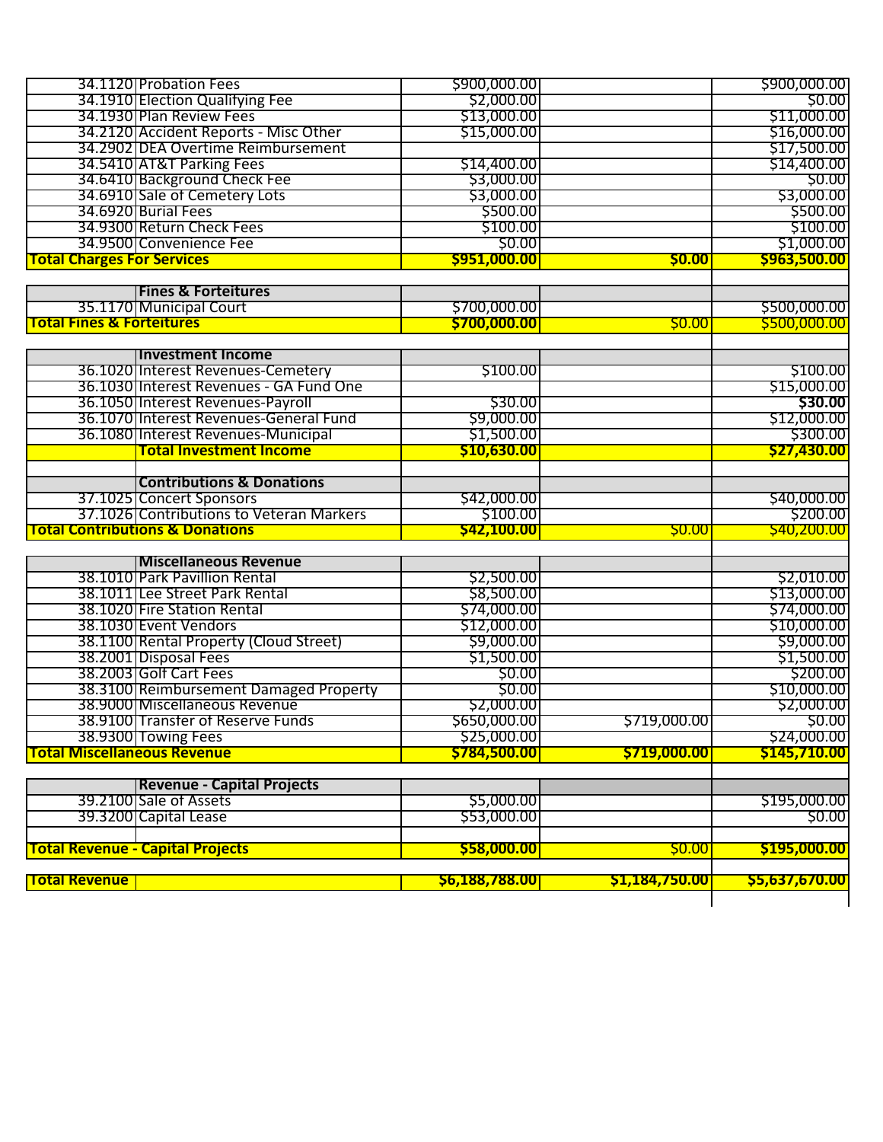| <b>Total Revenue</b>                 |                                                             | 56,188,788.00             | <b>\$1,184,750.00</b> | \$5,637,670.00        |
|--------------------------------------|-------------------------------------------------------------|---------------------------|-----------------------|-----------------------|
|                                      | <b>Total Revenue - Capital Projects</b>                     | \$58,000.00               | <b>\$0.00</b>         | \$195,000.00          |
|                                      |                                                             |                           |                       |                       |
|                                      | 39.3200 Capital Lease                                       | \$53,000.00               |                       | \$0.00                |
|                                      | 39.2100 Sale of Assets                                      | \$5,000.00                |                       | \$195,000.00          |
|                                      | <b>Revenue - Capital Projects</b>                           |                           |                       |                       |
| <b>Total Miscellaneous Revenue</b>   |                                                             | \$784,500.00              | <b>\$719,000.00</b>   | \$145,710.00          |
|                                      | 38.9300 Towing Fees                                         | \$25,000.00               |                       | \$24,000.00           |
|                                      | 38.9100 Transfer of Reserve Funds                           | \$650,000.00              | \$719,000.00          | \$0.00                |
|                                      | 38.9000 Miscellaneous Revenue                               | \$2,000.00                |                       | \$2,000.00            |
|                                      | 38.3100 Reimbursement Damaged Property                      | \$0.00                    |                       | \$10,000.00           |
|                                      | 38.2003 Golf Cart Fees                                      | \$0.00                    |                       | \$200.00              |
|                                      | 38.2001 Disposal Fees                                       | \$1,500.00                |                       | \$1,500.00            |
|                                      | 38.1100 Rental Property (Cloud Street)                      | \$9,000.00                |                       | \$9,000.00            |
|                                      | 38.1030 Event Vendors                                       | \$12,000.00               |                       | \$10,000.00           |
|                                      | 38.1020 Fire Station Rental                                 | \$74,000.00               |                       | \$74,000.00           |
|                                      | 38.1011 Lee Street Park Rental                              | \$8,500.00                |                       | \$13,000.00           |
|                                      | 38.1010 Park Pavillion Rental                               | \$2,500.00                |                       | \$2,010.00            |
|                                      | <b>Miscellaneous Revenue</b>                                |                           |                       |                       |
|                                      |                                                             |                           |                       |                       |
|                                      | <b>Total Contributions &amp; Donations</b>                  | \$42,100.00               | <b>\$0.00</b>         | \$40,200.00           |
|                                      | 37.1026 Contributions to Veteran Markers                    | \$100.00                  |                       | \$200.00              |
|                                      | 37.1025 Concert Sponsors                                    | \$42,000.00               |                       | \$40,000.00           |
|                                      | <b>Contributions &amp; Donations</b>                        |                           |                       |                       |
|                                      |                                                             |                           |                       |                       |
|                                      | <b>Total Investment Income</b>                              | \$10,630.00               |                       | <b>\$27,430.00</b>    |
|                                      | 36.1080 Interest Revenues-Municipal                         | \$1,500.00                |                       | \$300.00              |
|                                      | 36.1070 Interest Revenues-General Fund                      | \$9,000.00                |                       | \$12,000.00           |
|                                      | 36.1050 Interest Revenues-Payroll                           | \$30.00                   |                       | \$30.00               |
|                                      | 36.1030 Interest Revenues - GA Fund One                     |                           |                       | \$15,000.00           |
|                                      | 36.1020 Interest Revenues-Cemetery                          | \$100.00                  |                       | \$100.00              |
|                                      | <b>Investment Income</b>                                    |                           |                       |                       |
|                                      |                                                             |                           |                       |                       |
| <b>Total Fines &amp; Forteitures</b> |                                                             | \$700,000.00              | <b>\$0.00</b>         | \$500,000.00          |
|                                      | 35.1170 Municipal Court                                     | \$700,000.00              |                       | \$500,000.00          |
|                                      | <b>Fines &amp; Forteitures</b>                              |                           |                       |                       |
|                                      |                                                             |                           |                       |                       |
| <b>Total Charges For Services</b>    |                                                             | \$951,000.00              | <b>\$0.00</b>         | \$963,500.00          |
|                                      | 34.9500 Convenience Fee                                     | \$0.00                    |                       | \$1,000.00            |
|                                      | 34.9300 Return Check Fees                                   | \$100.00                  |                       | \$100.00              |
|                                      | 34.6920 Burial Fees                                         | \$500.00                  |                       | \$500.00              |
|                                      | 34.6910 Sale of Cemetery Lots                               | \$3,000.00                |                       | \$3,000.00            |
|                                      | 34.6410 Background Check Fee                                | \$3,000.00                |                       | \$0.00                |
|                                      | 34.5410 AT&T Parking Fees                                   | \$14,400.00               |                       | \$14,400.00           |
|                                      | 34.2902 DEA Overtime Reimbursement                          |                           |                       | \$17,500.00           |
|                                      | 34.2120 Accident Reports - Misc Other                       | \$15,000.00               |                       | \$16,000.00           |
|                                      | 34.1910 Election Qualifying Fee<br>34.1930 Plan Review Fees | \$2,000.00<br>\$13,000.00 |                       | \$0.00<br>\$11,000.00 |
|                                      | 34.1120 Probation Fees                                      | \$900,000.00              |                       | \$900,000.00          |
|                                      |                                                             |                           |                       |                       |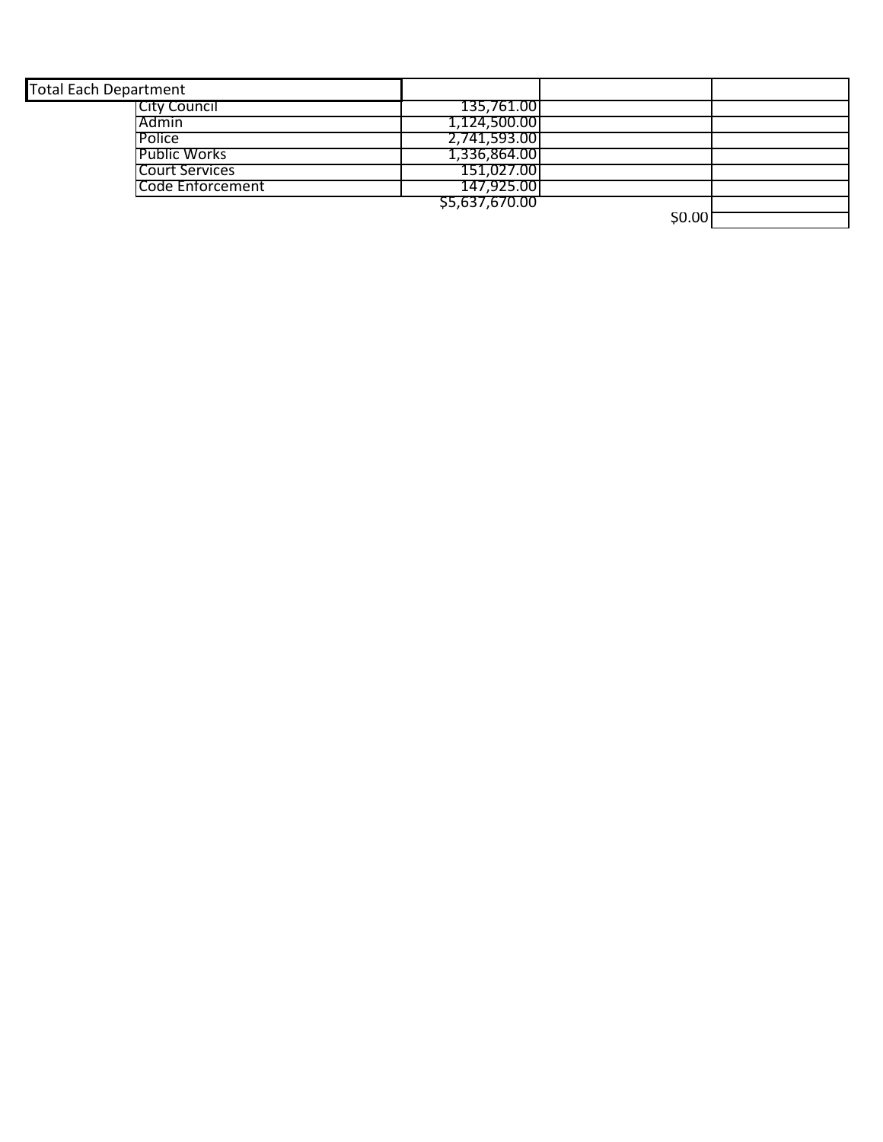| <b>Total Each Department</b> |                |  |
|------------------------------|----------------|--|
| <b>ICity Council</b>         | 135,761.001    |  |
| l Admin                      | 1,124,500.00   |  |
| <b>Police</b>                | 2,741,593.00   |  |
| <b>Public Works</b>          | 1,336,864.00   |  |
| <b>Court Services</b>        | 151,027.001    |  |
| Code Enforcement             | 147,925.00     |  |
|                              | \$5,637,670.00 |  |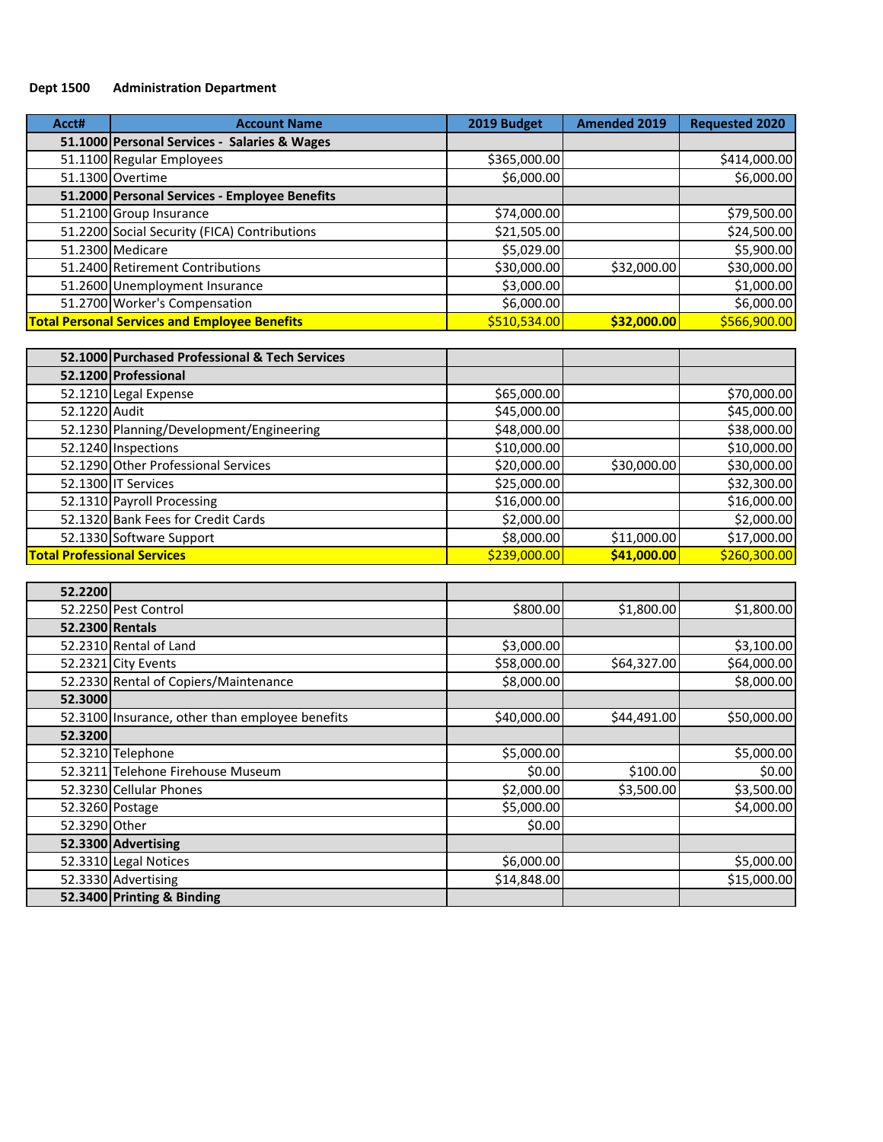# **Dept 1500 Administration Department**

| Acct# | <b>Account Name</b>                                  | 2019 Budget  | <b>Amended 2019</b> | <b>Requested 2020</b> |
|-------|------------------------------------------------------|--------------|---------------------|-----------------------|
|       | 51.1000 Personal Services - Salaries & Wages         |              |                     |                       |
|       | 51.1100 Regular Employees                            | \$365,000.00 |                     | \$414,000.00          |
|       | 51.1300 Overtime                                     | \$6,000.00   |                     | \$6,000.00            |
|       | 51.2000 Personal Services - Employee Benefits        |              |                     |                       |
|       | 51.2100 Group Insurance                              | \$74,000.00  |                     | \$79,500.00           |
|       | 51.2200 Social Security (FICA) Contributions         | \$21,505.00  |                     | \$24,500.00           |
|       | 51.2300 Medicare                                     | \$5,029.00   |                     | \$5,900.00            |
|       | 51.2400 Retirement Contributions                     | \$30,000.00  | \$32,000.00         | \$30,000.00           |
|       | 51.2600 Unemployment Insurance                       | \$3,000.00   |                     | \$1,000.00            |
|       | 51.2700 Worker's Compensation                        | \$6,000.00   |                     | \$6,000.00            |
|       | <b>Total Personal Services and Employee Benefits</b> | \$510,534.00 | \$32,000.00         | \$566,900.00          |

|                                    | 52.1000 Purchased Professional & Tech Services |              |             |              |
|------------------------------------|------------------------------------------------|--------------|-------------|--------------|
|                                    | 52.1200 Professional                           |              |             |              |
|                                    | 52.1210 Legal Expense                          | \$65,000.00  |             | \$70,000.00  |
| 52.1220 Audit                      |                                                | \$45,000.00  |             | \$45,000.00  |
|                                    | 52.1230 Planning/Development/Engineering       | \$48,000.00  |             | \$38,000.00  |
|                                    | 52.1240 Inspections                            | \$10,000.00  |             | \$10,000.00  |
|                                    | 52.1290 Other Professional Services            | \$20,000.00  | \$30,000.00 | \$30,000.00  |
|                                    | 52.1300 IT Services                            | \$25,000.00  |             | \$32,300.00  |
|                                    | 52.1310 Payroll Processing                     | \$16,000.00  |             | \$16,000.00  |
|                                    | 52.1320 Bank Fees for Credit Cards             | \$2,000.00   |             | \$2,000.00   |
|                                    | 52.1330 Software Support                       | \$8,000.00   | \$11,000.00 | \$17,000.00  |
| <b>Total Professional Services</b> |                                                | \$239,000.00 | \$41,000.00 | \$260,300.00 |

| 52.2200       |                                                 |             |             |             |
|---------------|-------------------------------------------------|-------------|-------------|-------------|
|               | 52.2250 Pest Control                            | \$800.00    | \$1,800.00  | \$1,800.00  |
|               | 52.2300 Rentals                                 |             |             |             |
|               | 52.2310 Rental of Land                          | \$3,000.00  |             | \$3,100.00  |
|               | 52.2321 City Events                             | \$58,000.00 | \$64,327.00 | \$64,000.00 |
|               | 52.2330 Rental of Copiers/Maintenance           | \$8,000.00  |             | \$8,000.00  |
| 52.3000       |                                                 |             |             |             |
|               | 52.3100 Insurance, other than employee benefits | \$40,000.00 | \$44,491.00 | \$50,000.00 |
| 52.3200       |                                                 |             |             |             |
|               | 52.3210 Telephone                               | \$5,000.00  |             | \$5,000.00  |
|               | 52.3211 Telehone Firehouse Museum               | \$0.00      | \$100.00    | \$0.00      |
|               | 52.3230 Cellular Phones                         | \$2,000.00  | \$3,500.00  | \$3,500.00  |
|               | 52.3260 Postage                                 | \$5,000.00  |             | \$4,000.00  |
| 52.3290 Other |                                                 | \$0.00      |             |             |
|               | 52.3300 Advertising                             |             |             |             |
|               | 52.3310 Legal Notices                           | \$6,000.00  |             | \$5,000.00  |
|               | 52.3330 Advertising                             | \$14,848.00 |             | \$15,000.00 |
|               | 52.3400 Printing & Binding                      |             |             |             |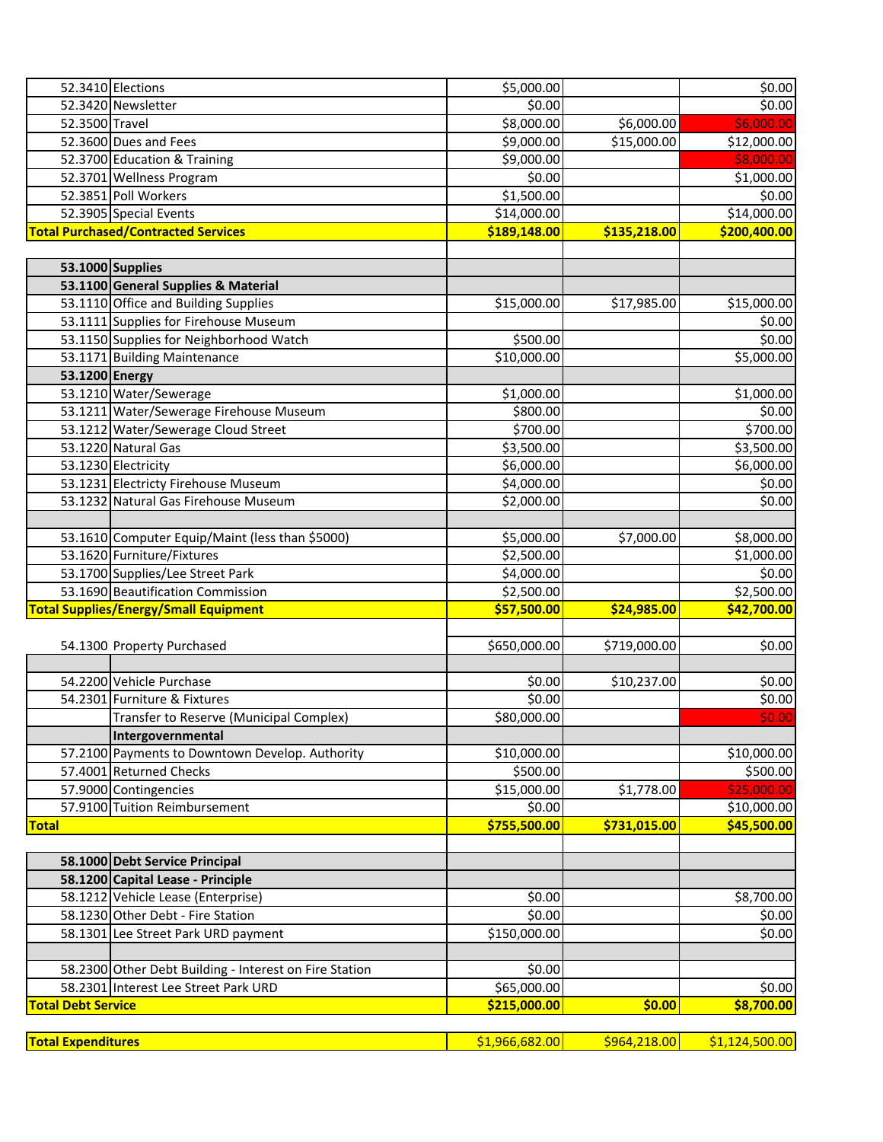|                           | 52.3410 Elections                                                                              | \$5,000.00            |              | \$0.00         |
|---------------------------|------------------------------------------------------------------------------------------------|-----------------------|--------------|----------------|
|                           | 52.3420 Newsletter                                                                             | \$0.00                |              | \$0.00         |
| 52.3500 Travel            |                                                                                                | \$8,000.00            | \$6,000.00   | \$6,000.00     |
|                           | 52.3600 Dues and Fees                                                                          | \$9,000.00            | \$15,000.00  | \$12,000.00    |
|                           | 52.3700 Education & Training                                                                   | \$9,000.00            |              | \$8,000.00     |
|                           | 52.3701 Wellness Program                                                                       | \$0.00                |              | \$1,000.00     |
|                           | 52.3851 Poll Workers                                                                           | \$1,500.00            |              | \$0.00         |
|                           | 52.3905 Special Events                                                                         | \$14,000.00           |              | \$14,000.00    |
|                           | <b>Total Purchased/Contracted Services</b>                                                     | \$189,148.00          | \$135,218.00 | \$200,400.00   |
|                           |                                                                                                |                       |              |                |
|                           | 53.1000 Supplies                                                                               |                       |              |                |
|                           | 53.1100 General Supplies & Material                                                            |                       |              |                |
|                           | 53.1110 Office and Building Supplies                                                           | \$15,000.00           | \$17,985.00  | \$15,000.00    |
|                           | 53.1111 Supplies for Firehouse Museum                                                          |                       |              | \$0.00         |
|                           | 53.1150 Supplies for Neighborhood Watch                                                        | \$500.00              |              | \$0.00         |
|                           | 53.1171 Building Maintenance                                                                   | \$10,000.00           |              | \$5,000.00     |
| 53.1200 Energy            |                                                                                                |                       |              |                |
|                           | 53.1210 Water/Sewerage                                                                         | \$1,000.00            |              | \$1,000.00     |
|                           | 53.1211 Water/Sewerage Firehouse Museum                                                        | \$800.00              |              | \$0.00         |
|                           | 53.1212 Water/Sewerage Cloud Street                                                            | \$700.00              |              | \$700.00       |
|                           | 53.1220 Natural Gas                                                                            | \$3,500.00            |              | \$3,500.00     |
|                           | 53.1230 Electricity                                                                            | \$6,000.00            |              | \$6,000.00     |
|                           | 53.1231 Electricty Firehouse Museum                                                            | \$4,000.00            |              | \$0.00         |
|                           | 53.1232 Natural Gas Firehouse Museum                                                           | \$2,000.00            |              | \$0.00         |
|                           |                                                                                                |                       |              |                |
|                           | 53.1610 Computer Equip/Maint (less than \$5000)                                                | \$5,000.00            | \$7,000.00   | \$8,000.00     |
|                           | 53.1620 Furniture/Fixtures                                                                     | \$2,500.00            |              | \$1,000.00     |
|                           | 53.1700 Supplies/Lee Street Park                                                               | \$4,000.00            |              | \$0.00         |
|                           | 53.1690 Beautification Commission                                                              | \$2,500.00            |              | \$2,500.00     |
|                           | <b>Total Supplies/Energy/Small Equipment</b>                                                   | \$57,500.00           | \$24,985.00  | \$42,700.00    |
|                           |                                                                                                |                       |              |                |
|                           | 54.1300 Property Purchased                                                                     | \$650,000.00          | \$719,000.00 | \$0.00         |
|                           |                                                                                                |                       |              |                |
|                           | 54.2200 Vehicle Purchase                                                                       | \$0.00                | \$10,237.00  | \$0.00         |
|                           | 54.2301 Furniture & Fixtures                                                                   | \$0.00                |              | \$0.00         |
|                           | Transfer to Reserve (Municipal Complex)                                                        | \$80,000.00           |              | \$0.00         |
|                           | Intergovernmental                                                                              |                       |              |                |
|                           | 57.2100 Payments to Downtown Develop. Authority                                                | \$10,000.00           |              | \$10,000.00    |
|                           | 57.4001 Returned Checks                                                                        | \$500.00              |              | \$500.00       |
|                           | 57.9000 Contingencies                                                                          | \$15,000.00           | \$1,778.00   | \$25,000.00    |
|                           | 57.9100 Tuition Reimbursement                                                                  | \$0.00                |              | \$10,000.00    |
| <b>Total</b>              |                                                                                                | \$755,500.00          | \$731,015.00 | \$45,500.00    |
|                           |                                                                                                |                       |              |                |
|                           | 58.1000 Debt Service Principal                                                                 |                       |              |                |
|                           | 58.1200 Capital Lease - Principle                                                              |                       |              |                |
|                           | 58.1212 Vehicle Lease (Enterprise)                                                             | \$0.00                |              | \$8,700.00     |
|                           | 58.1230 Other Debt - Fire Station                                                              | \$0.00                |              | \$0.00         |
|                           | 58.1301 Lee Street Park URD payment                                                            | \$150,000.00          |              | \$0.00         |
|                           |                                                                                                |                       |              |                |
|                           | 58.2300 Other Debt Building - Interest on Fire Station<br>58.2301 Interest Lee Street Park URD | \$0.00<br>\$65,000.00 |              | \$0.00         |
| <b>Total Debt Service</b> |                                                                                                | \$215,000.00          | \$0.00       | \$8,700.00     |
|                           |                                                                                                |                       |              |                |
| <b>Total Expenditures</b> |                                                                                                | \$1,966,682.00        | \$964,218.00 | \$1,124,500.00 |
|                           |                                                                                                |                       |              |                |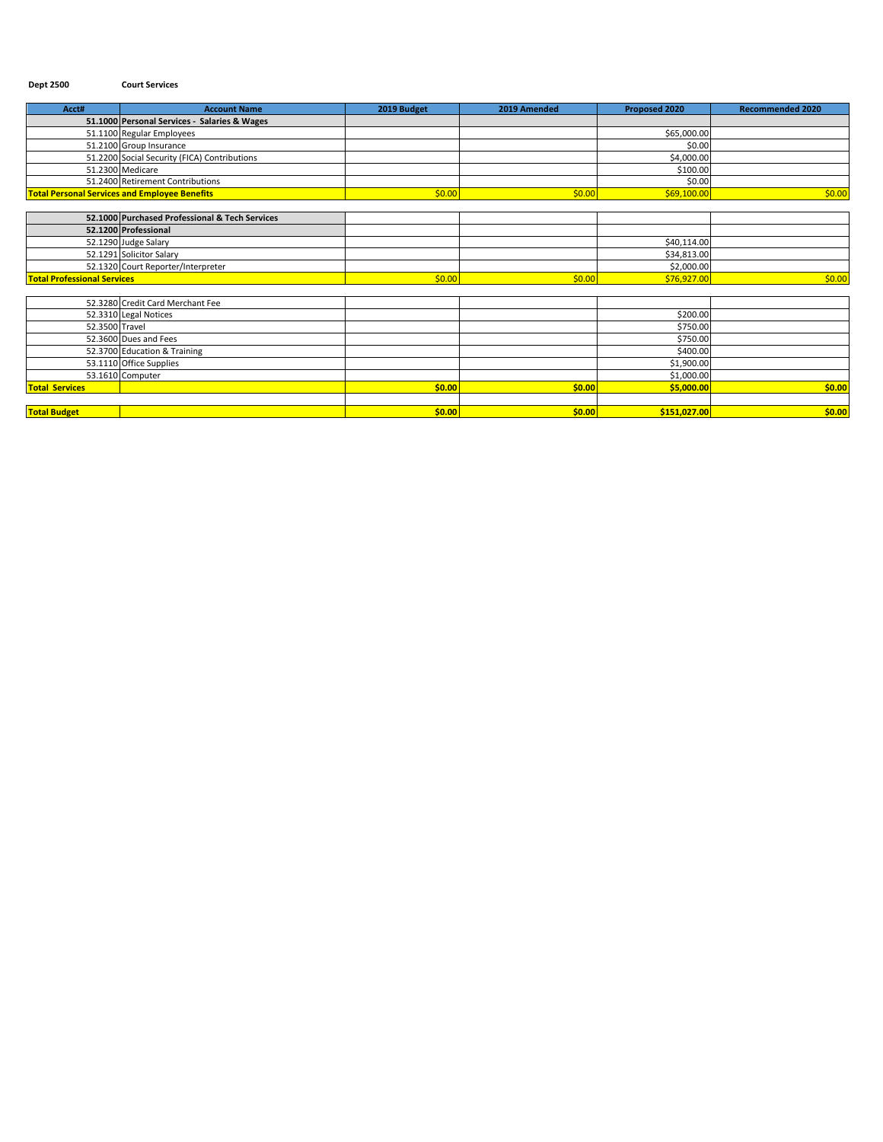### **Dept 2500 Court Services**

| Acct#                              | <b>Account Name</b>                                  | 2019 Budget | 2019 Amended | Proposed 2020 | <b>Recommended 2020</b> |
|------------------------------------|------------------------------------------------------|-------------|--------------|---------------|-------------------------|
|                                    | 51.1000 Personal Services - Salaries & Wages         |             |              |               |                         |
|                                    | 51.1100 Regular Employees                            |             |              | \$65,000.00   |                         |
|                                    | 51.2100 Group Insurance                              |             |              | \$0.00        |                         |
|                                    | 51.2200 Social Security (FICA) Contributions         |             |              | \$4,000.00    |                         |
|                                    | 51.2300 Medicare                                     |             |              | \$100.00      |                         |
|                                    | 51.2400 Retirement Contributions                     |             |              | \$0.00        |                         |
|                                    | <b>Total Personal Services and Employee Benefits</b> | \$0.00      | \$0.00       | \$69,100.00   | \$0.00                  |
|                                    |                                                      |             |              |               |                         |
|                                    | 52.1000 Purchased Professional & Tech Services       |             |              |               |                         |
|                                    | 52.1200 Professional                                 |             |              |               |                         |
|                                    | 52.1290 Judge Salary                                 |             |              | \$40,114.00   |                         |
|                                    | 52.1291 Solicitor Salary                             |             |              | \$34,813.00   |                         |
|                                    | 52.1320 Court Reporter/Interpreter                   |             |              | \$2,000.00    |                         |
| <b>Total Professional Services</b> |                                                      | \$0.00      | \$0.00       | \$76,927.00   | \$0.00                  |
|                                    |                                                      |             |              |               |                         |
|                                    | 52.3280 Credit Card Merchant Fee                     |             |              |               |                         |
|                                    | 52.3310 Legal Notices                                |             |              | \$200.00      |                         |
| 52.3500 Travel                     |                                                      |             |              | \$750.00      |                         |
|                                    | 52.3600 Dues and Fees                                |             |              | \$750.00      |                         |
|                                    | 52.3700 Education & Training                         |             |              | \$400.00      |                         |
|                                    | 53.1110 Office Supplies                              |             |              | \$1,900.00    |                         |
|                                    | 53.1610 Computer                                     |             |              | \$1,000.00    |                         |
| <b>Total Services</b>              |                                                      | \$0.00      | \$0.00       | \$5,000.00    | \$0.00                  |
|                                    |                                                      |             |              |               |                         |
| <b>Total Budget</b>                |                                                      | \$0.00      | \$0.00       | \$151,027.00  | \$0.00                  |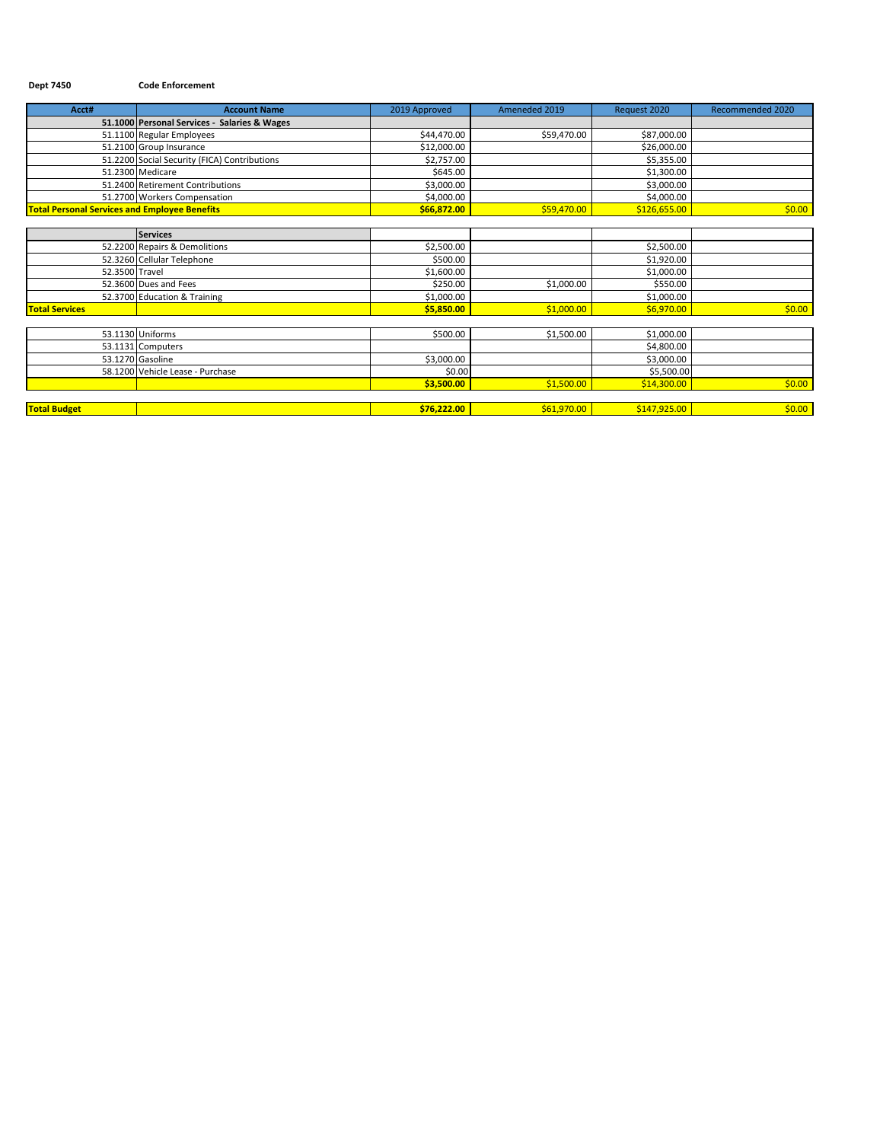#### **Dept 7450 Code Enforcement**

| Acct#                                                | <b>Account Name</b>                          | 2019 Approved | Ameneded 2019 | Request 2020 | Recommended 2020 |
|------------------------------------------------------|----------------------------------------------|---------------|---------------|--------------|------------------|
|                                                      | 51.1000 Personal Services - Salaries & Wages |               |               |              |                  |
|                                                      | 51.1100 Regular Employees                    | \$44,470.00   | \$59,470.00   | \$87,000.00  |                  |
|                                                      | 51.2100 Group Insurance                      | \$12,000.00   |               | \$26,000.00  |                  |
|                                                      | 51.2200 Social Security (FICA) Contributions | \$2,757.00    |               | \$5,355.00   |                  |
|                                                      | 51.2300 Medicare                             | \$645.00      |               | \$1,300.00   |                  |
|                                                      | 51.2400 Retirement Contributions             | \$3,000.00    |               | \$3,000.00   |                  |
|                                                      | 51.2700 Workers Compensation                 | \$4,000.00    |               | \$4,000.00   |                  |
| <b>Total Personal Services and Employee Benefits</b> |                                              | \$66,872.00   | \$59,470.00   | \$126,655.00 | \$0.00           |
|                                                      |                                              |               |               |              |                  |
|                                                      | <b>Services</b>                              |               |               |              |                  |
|                                                      | 52.2200 Repairs & Demolitions                | \$2,500.00    |               | \$2,500.00   |                  |
|                                                      | 52.3260 Cellular Telephone                   | \$500.00      |               | \$1,920.00   |                  |
| 52.3500 Travel                                       |                                              | \$1,600.00    |               | \$1,000.00   |                  |
|                                                      | 52.3600 Dues and Fees                        | \$250.00      | \$1,000.00    | \$550.00     |                  |
|                                                      | 52.3700 Education & Training                 | \$1,000.00    |               | \$1,000.00   |                  |
| <b>Total Services</b>                                |                                              | \$5,850.00    | \$1,000.00    | \$6,970.00   | \$0.00           |
|                                                      |                                              |               |               |              |                  |
|                                                      | 53.1130 Uniforms                             | \$500.00      | \$1,500.00    | \$1,000.00   |                  |
|                                                      | 53.1131 Computers                            |               |               | \$4,800.00   |                  |
|                                                      | 53.1270 Gasoline                             | \$3,000.00    |               | \$3,000.00   |                  |
|                                                      | 58.1200 Vehicle Lease - Purchase             | \$0.00        |               | \$5,500.00   |                  |
|                                                      |                                              | \$3,500.00    | \$1,500.00    | \$14,300.00  | \$0.00           |
|                                                      |                                              |               |               |              |                  |
| <b>Total Budget</b>                                  |                                              | \$76,222.00   | \$61,970.00   | \$147,925.00 | \$0.00           |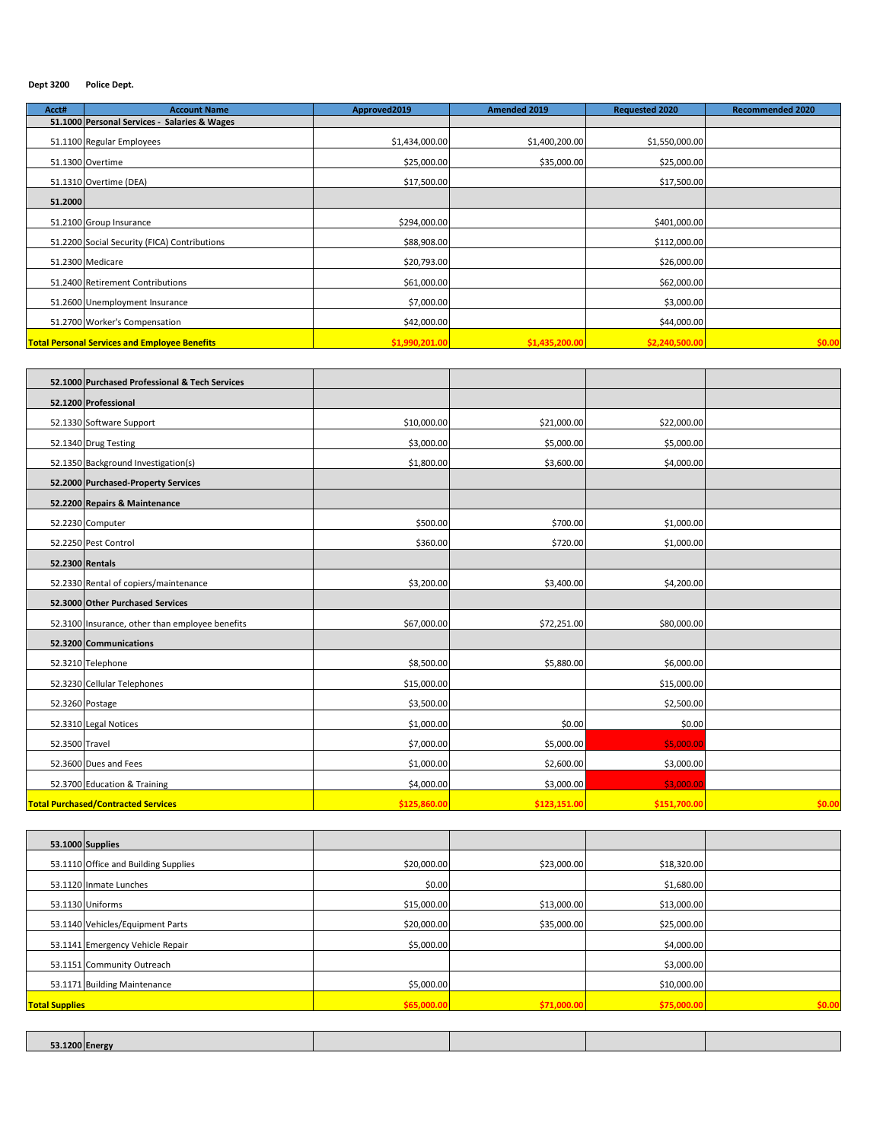#### **Dept 3200 Police Dept.**

| Acct#   | <b>Account Name</b>                                        | Approved2019   | <b>Amended 2019</b> | <b>Requested 2020</b> | <b>Recommended 2020</b> |
|---------|------------------------------------------------------------|----------------|---------------------|-----------------------|-------------------------|
|         | 51.1000 Personal Services -<br><b>Salaries &amp; Wages</b> |                |                     |                       |                         |
|         | 51.1100 Regular Employees                                  | \$1,434,000.00 | \$1,400,200.00      | \$1,550,000.00        |                         |
|         | 51.1300 Overtime                                           | \$25,000.00    | \$35,000.00         | \$25,000.00           |                         |
|         | 51.1310 Overtime (DEA)                                     | \$17,500.00    |                     | \$17,500.00           |                         |
| 51.2000 |                                                            |                |                     |                       |                         |
|         | 51.2100 Group Insurance                                    | \$294,000.00   |                     | \$401,000.00          |                         |
|         | 51.2200 Social Security (FICA) Contributions               | \$88,908.00    |                     | \$112,000.00          |                         |
|         | 51.2300 Medicare                                           | \$20,793.00    |                     | \$26,000.00           |                         |
|         | 51.2400 Retirement Contributions                           | \$61,000.00    |                     | \$62,000.00           |                         |
|         | 51.2600 Unemployment Insurance                             | \$7,000.00     |                     | \$3,000.00            |                         |
|         | 51.2700 Worker's Compensation                              | \$42,000.00    |                     | \$44,000.00           |                         |
|         | <b>Total Personal Services and Employee Benefits</b>       | \$1,990,201.00 | \$1,435,200.00      | \$2,240,500.00        | \$0.00                  |

|                | 52.1000 Purchased Professional & Tech Services  |              |              |              |        |
|----------------|-------------------------------------------------|--------------|--------------|--------------|--------|
|                | 52.1200 Professional                            |              |              |              |        |
|                | 52.1330 Software Support                        | \$10,000.00  | \$21,000.00  | \$22,000.00  |        |
|                | 52.1340 Drug Testing                            | \$3,000.00   | \$5,000.00   | \$5,000.00   |        |
|                | 52.1350 Background Investigation(s)             | \$1,800.00   | \$3,600.00   | \$4,000.00   |        |
|                | 52.2000 Purchased-Property Services             |              |              |              |        |
|                | 52.2200 Repairs & Maintenance                   |              |              |              |        |
|                | 52.2230 Computer                                | \$500.00     | \$700.00     | \$1,000.00   |        |
|                | 52.2250 Pest Control                            | \$360.00     | \$720.00     | \$1,000.00   |        |
|                | 52.2300 Rentals                                 |              |              |              |        |
|                | 52.2330 Rental of copiers/maintenance           | \$3,200.00   | \$3,400.00   | \$4,200.00   |        |
|                | 52.3000 Other Purchased Services                |              |              |              |        |
|                | 52.3100 Insurance, other than employee benefits | \$67,000.00  | \$72,251.00  | \$80,000.00  |        |
|                | 52.3200 Communications                          |              |              |              |        |
|                | 52.3210 Telephone                               | \$8,500.00   | \$5,880.00   | \$6,000.00   |        |
|                | 52.3230 Cellular Telephones                     | \$15,000.00  |              | \$15,000.00  |        |
|                | 52.3260 Postage                                 | \$3,500.00   |              | \$2,500.00   |        |
|                | 52.3310 Legal Notices                           | \$1,000.00   | \$0.00       | \$0.00       |        |
| 52.3500 Travel |                                                 | \$7,000.00   | \$5,000.00   | \$5,000.00   |        |
|                | 52.3600 Dues and Fees                           | \$1,000.00   | \$2,600.00   | \$3,000.00   |        |
|                | 52.3700 Education & Training                    | \$4,000.00   | \$3,000.00   | \$3,000.00   |        |
|                | <b>Total Purchased/Contracted Services</b>      | \$125,860.00 | \$123,151.00 | \$151,700.00 | \$0.00 |

| 53.1000 Supplies                     |             |             |             |        |
|--------------------------------------|-------------|-------------|-------------|--------|
| 53.1110 Office and Building Supplies | \$20,000.00 | \$23,000.00 | \$18,320.00 |        |
| 53.1120 Inmate Lunches               | \$0.00      |             | \$1,680.00  |        |
| 53.1130 Uniforms                     | \$15,000.00 | \$13,000.00 | \$13,000.00 |        |
| 53.1140 Vehicles/Equipment Parts     | \$20,000.00 | \$35,000.00 | \$25,000.00 |        |
| 53.1141 Emergency Vehicle Repair     | \$5,000.00  |             | \$4,000.00  |        |
| 53.1151 Community Outreach           |             |             | \$3,000.00  |        |
| 53.1171 Building Maintenance         | \$5,000.00  |             | \$10,000.00 |        |
| <b>Total Supplies</b>                | \$65,000.00 | \$71,000.00 | \$75,000.00 | \$0.00 |
|                                      |             |             |             |        |

| $-245$<br><b>COLEDATO</b> |  |  |
|---------------------------|--|--|
|                           |  |  |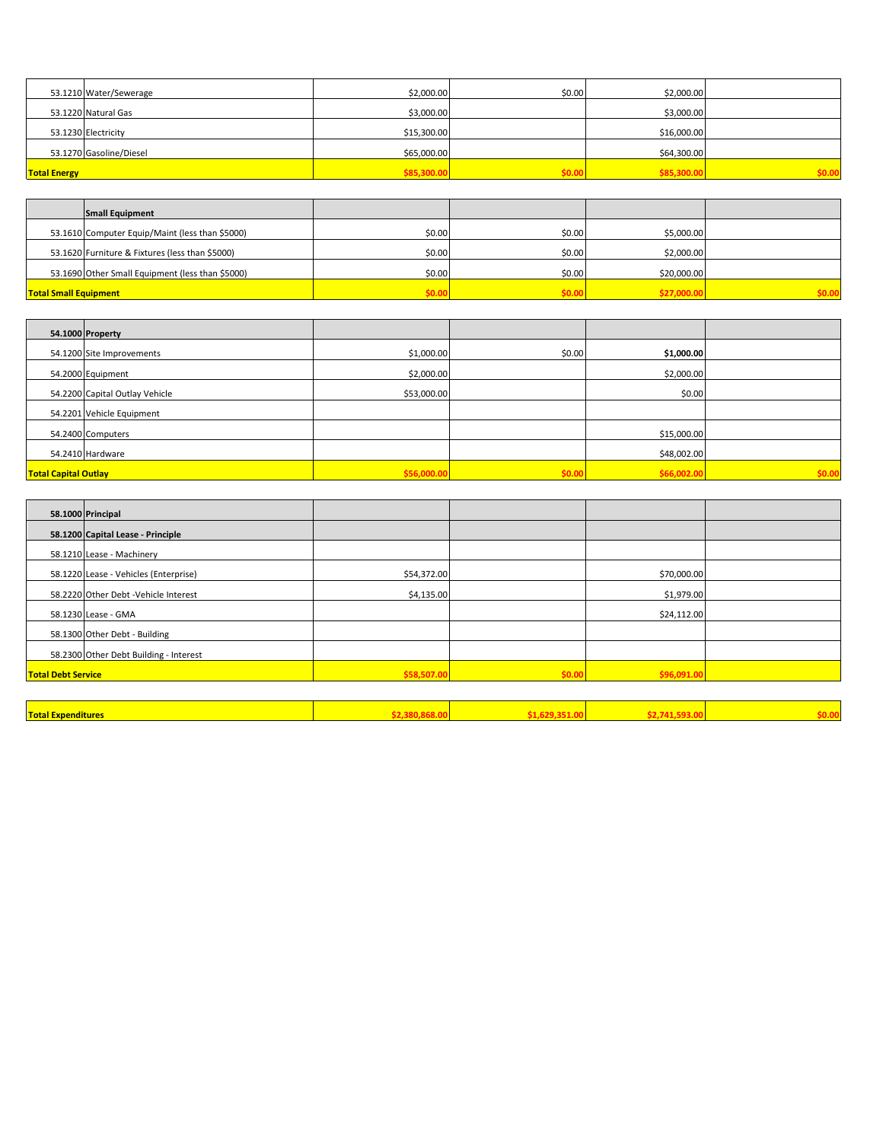|                     | 53.1210 Water/Sewerage  | \$2,000.00  | \$0.00 | \$2,000.00  |        |
|---------------------|-------------------------|-------------|--------|-------------|--------|
|                     | 53.1220 Natural Gas     | \$3,000.00  |        | \$3,000.00  |        |
|                     | 53.1230 Electricity     | \$15,300.00 |        | \$16,000.00 |        |
|                     | 53.1270 Gasoline/Diesel | \$65,000.00 |        | \$64,300.00 |        |
| <b>Total Energy</b> |                         | \$85,300.00 | \$0.0  | \$85,300.00 | \$0.00 |

|                              | <b>Small Equipment</b>                           |        |        |             |       |
|------------------------------|--------------------------------------------------|--------|--------|-------------|-------|
|                              | 53.1610 Computer Equip/Maint (less than \$5000)  | \$0.00 | \$0.00 | \$5,000.00  |       |
|                              | 53.1620 Furniture & Fixtures (less than \$5000)  | \$0.00 | \$0.00 | \$2,000.00  |       |
|                              | 53.1690 Other Small Equipment (less than \$5000) | \$0.00 | \$0.00 | \$20,000.00 |       |
| <b>Total Small Equipment</b> |                                                  | cn ni  | \$0.00 | \$27,000.0  | 50.00 |

|                             | 54.1000 Property               |             |        |             |        |
|-----------------------------|--------------------------------|-------------|--------|-------------|--------|
|                             | 54.1200 Site Improvements      | \$1,000.00  | \$0.00 | \$1,000.00  |        |
|                             | 54.2000 Equipment              | \$2,000.00  |        | \$2,000.00  |        |
|                             | 54.2200 Capital Outlay Vehicle | \$53,000.00 |        | \$0.00      |        |
|                             | 54.2201 Vehicle Equipment      |             |        |             |        |
|                             | 54.2400 Computers              |             |        | \$15,000.00 |        |
|                             | 54.2410 Hardware               |             |        | \$48,002.00 |        |
| <b>Total Capital Outlay</b> |                                | \$56,000.00 | \$0.00 | \$66,002.00 | \$0.00 |

| 58.1000 Principal                      |             |        |             |  |
|----------------------------------------|-------------|--------|-------------|--|
| 58.1200 Capital Lease - Principle      |             |        |             |  |
| 58.1210 Lease - Machinery              |             |        |             |  |
| 58.1220 Lease - Vehicles (Enterprise)  | \$54,372.00 |        | \$70,000.00 |  |
| 58.2220 Other Debt - Vehicle Interest  | \$4,135.00  |        | \$1,979.00  |  |
| 58.1230 Lease - GMA                    |             |        | \$24,112.00 |  |
| 58.1300 Other Debt - Building          |             |        |             |  |
| 58.2300 Other Debt Building - Interest |             |        |             |  |
| <b>Total Debt Service</b>              | \$58,507.00 | \$0.00 | \$96.091.00 |  |
|                                        |             |        |             |  |

| <b>Total Expenditures</b> |  |  |
|---------------------------|--|--|
|                           |  |  |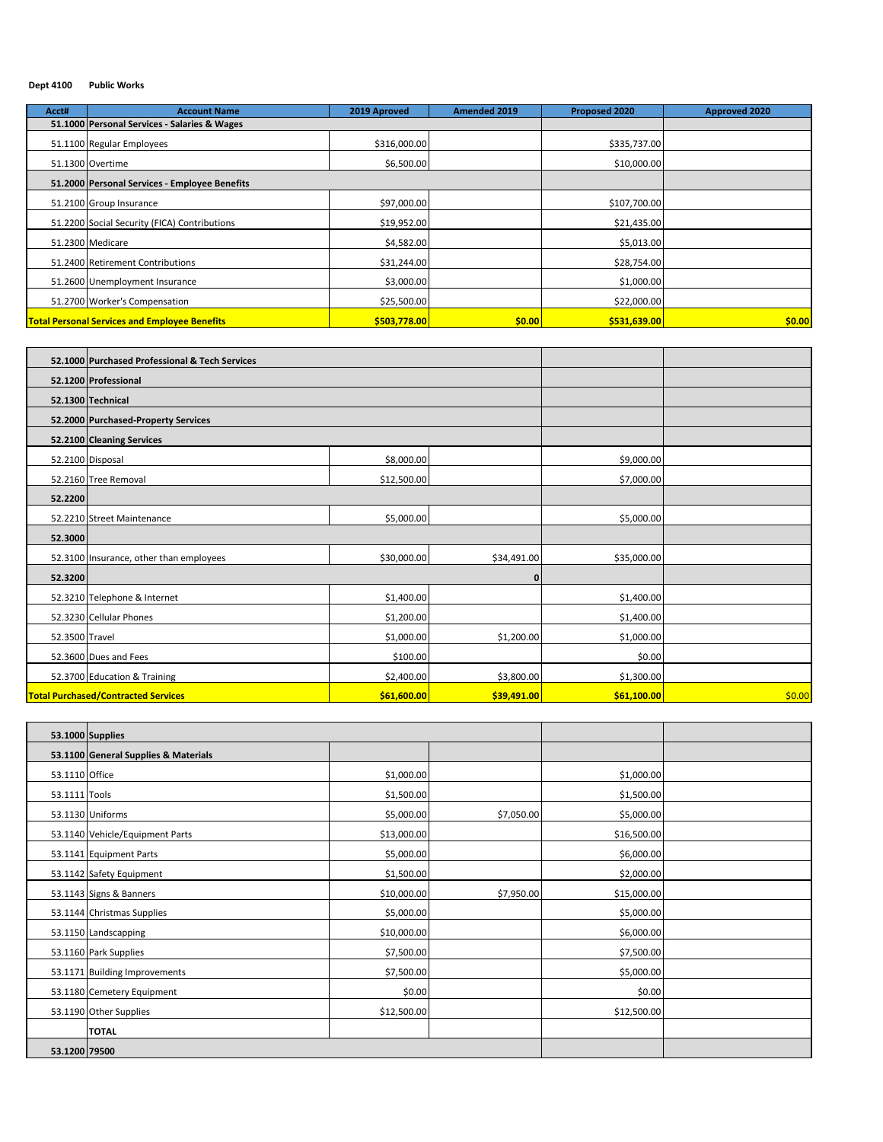#### **Dept 4100 Public Works**

| Acct# | <b>Account Name</b>                                  | 2019 Aproved | Amended 2019 | Proposed 2020 | <b>Approved 2020</b> |
|-------|------------------------------------------------------|--------------|--------------|---------------|----------------------|
|       | 51.1000 Personal Services - Salaries & Wages         |              |              |               |                      |
|       | 51.1100 Regular Employees                            | \$316,000.00 |              | \$335,737.00  |                      |
|       | 51.1300 Overtime                                     | \$6,500.00   |              | \$10,000.00   |                      |
|       | 51.2000 Personal Services - Employee Benefits        |              |              |               |                      |
|       | 51.2100 Group Insurance                              | \$97,000.00  |              | \$107,700.00  |                      |
|       | 51.2200 Social Security (FICA) Contributions         | \$19,952.00  |              | \$21,435.00   |                      |
|       | 51.2300 Medicare                                     | \$4,582.00   |              | \$5,013.00    |                      |
|       | 51.2400 Retirement Contributions                     | \$31,244.00  |              | \$28,754.00   |                      |
|       | 51.2600 Unemployment Insurance                       | \$3,000.00   |              | \$1,000.00    |                      |
|       | 51.2700 Worker's Compensation                        | \$25,500.00  |              | \$22,000.00   |                      |
|       | <b>Total Personal Services and Employee Benefits</b> | \$503,778.00 | \$0.00       | \$531,639.00  | \$0.00               |

|                | 52.1000 Purchased Professional & Tech Services |             |             |             |        |
|----------------|------------------------------------------------|-------------|-------------|-------------|--------|
|                | 52.1200 Professional                           |             |             |             |        |
|                | 52.1300 Technical                              |             |             |             |        |
|                | 52.2000 Purchased-Property Services            |             |             |             |        |
|                | 52.2100 Cleaning Services                      |             |             |             |        |
|                | 52.2100 Disposal                               | \$8,000.00  |             | \$9,000.00  |        |
|                | 52.2160 Tree Removal                           | \$12,500.00 |             | \$7,000.00  |        |
| 52.2200        |                                                |             |             |             |        |
|                | 52.2210 Street Maintenance                     | \$5,000.00  |             | \$5,000.00  |        |
| 52.3000        |                                                |             |             |             |        |
|                | 52.3100 Insurance, other than employees        | \$30,000.00 | \$34,491.00 | \$35,000.00 |        |
| 52.3200        |                                                |             | 0           |             |        |
|                | 52.3210 Telephone & Internet                   | \$1,400.00  |             | \$1,400.00  |        |
|                | 52.3230 Cellular Phones                        | \$1,200.00  |             | \$1,400.00  |        |
| 52.3500 Travel |                                                | \$1,000.00  | \$1,200.00  | \$1,000.00  |        |
|                | 52.3600 Dues and Fees                          | \$100.00    |             | \$0.00      |        |
|                | 52.3700 Education & Training                   | \$2,400.00  | \$3,800.00  | \$1,300.00  |        |
|                | <b>Total Purchased/Contracted Services</b>     | \$61,600.00 | \$39,491.00 | \$61,100.00 | \$0.00 |

|                | 53.1000 Supplies                     |             |            |             |  |
|----------------|--------------------------------------|-------------|------------|-------------|--|
|                | 53.1100 General Supplies & Materials |             |            |             |  |
| 53.1110 Office |                                      | \$1,000.00  |            | \$1,000.00  |  |
| 53.1111 Tools  |                                      | \$1,500.00  |            | \$1,500.00  |  |
|                | 53.1130 Uniforms                     | \$5,000.00  | \$7,050.00 | \$5,000.00  |  |
|                | 53.1140 Vehicle/Equipment Parts      | \$13,000.00 |            | \$16,500.00 |  |
|                | 53.1141 Equipment Parts              | \$5,000.00  |            | \$6,000.00  |  |
|                | 53.1142 Safety Equipment             | \$1,500.00  |            | \$2,000.00  |  |
|                | 53.1143 Signs & Banners              | \$10,000.00 | \$7,950.00 | \$15,000.00 |  |
|                | 53.1144 Christmas Supplies           | \$5,000.00  |            | \$5,000.00  |  |
|                | 53.1150 Landscapping                 | \$10,000.00 |            | \$6,000.00  |  |
|                | 53.1160 Park Supplies                | \$7,500.00  |            | \$7,500.00  |  |
|                | 53.1171 Building Improvements        | \$7,500.00  |            | \$5,000.00  |  |
|                | 53.1180 Cemetery Equipment           | \$0.00      |            | \$0.00      |  |
|                | 53.1190 Other Supplies               | \$12,500.00 |            | \$12,500.00 |  |
|                | <b>TOTAL</b>                         |             |            |             |  |
| 53.1200 79500  |                                      |             |            |             |  |